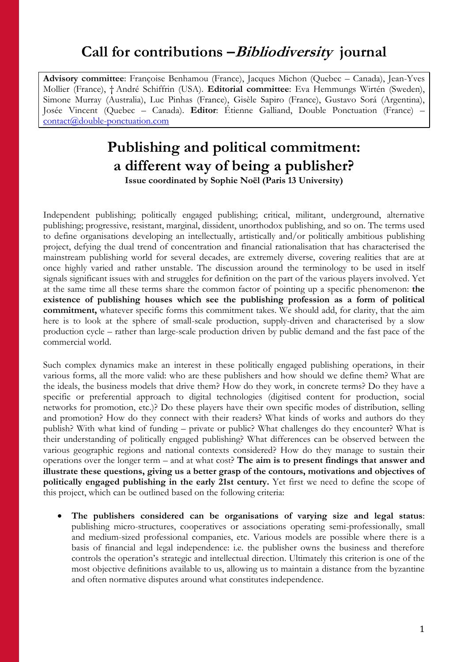# **Call for contributions –Bibliodiversity journal**

**Advisory committee**: Françoise Benhamou (France), Jacques Michon (Quebec – Canada), Jean-Yves Mollier (France), † André Schiffrin (USA). **Editorial committee**: Eva Hemmungs Wirtén (Sweden), Simone Murray (Australia), Luc Pinhas (France), Gisèle Sapiro (France), Gustavo Sorá (Argentina), Josée Vincent (Quebec – Canada). **Editor**: Étienne Galliand, Double Ponctuation (France) – [contact@double-ponctuation.com](mailto:contact@double-ponctuation.com)

# **Publishing and political commitment: a different way of being a publisher? Issue coordinated by Sophie Noël (Paris 13 University)**

Independent publishing; politically engaged publishing; critical, militant, underground, alternative publishing; progressive, resistant, marginal, dissident, unorthodox publishing, and so on. The terms used to define organisations developing an intellectually, artistically and/or politically ambitious publishing project, defying the dual trend of concentration and financial rationalisation that has characterised the mainstream publishing world for several decades, are extremely diverse, covering realities that are at once highly varied and rather unstable. The discussion around the terminology to be used in itself signals significant issues with and struggles for definition on the part of the various players involved. Yet at the same time all these terms share the common factor of pointing up a specific phenomenon: **the existence of publishing houses which see the publishing profession as a form of political commitment,** whatever specific forms this commitment takes. We should add, for clarity, that the aim here is to look at the sphere of small-scale production, supply-driven and characterised by a slow production cycle – rather than large-scale production driven by public demand and the fast pace of the commercial world.

Such complex dynamics make an interest in these politically engaged publishing operations, in their various forms, all the more valid: who are these publishers and how should we define them? What are the ideals, the business models that drive them? How do they work, in concrete terms? Do they have a specific or preferential approach to digital technologies (digitised content for production, social networks for promotion, etc.)? Do these players have their own specific modes of distribution, selling and promotion? How do they connect with their readers? What kinds of works and authors do they publish? With what kind of funding – private or public? What challenges do they encounter? What is their understanding of politically engaged publishing? What differences can be observed between the various geographic regions and national contexts considered? How do they manage to sustain their operations over the longer term – and at what cost? **The aim is to present findings that answer and illustrate these questions, giving us a better grasp of the contours, motivations and objectives of politically engaged publishing in the early 21st century.** Yet first we need to define the scope of this project, which can be outlined based on the following criteria:

 **The publishers considered can be organisations of varying size and legal status**: publishing micro-structures, cooperatives or associations operating semi-professionally, small and medium-sized professional companies, etc. Various models are possible where there is a basis of financial and legal independence: i.e. the publisher owns the business and therefore controls the operation's strategic and intellectual direction. Ultimately this criterion is one of the most objective definitions available to us, allowing us to maintain a distance from the byzantine and often normative disputes around what constitutes independence.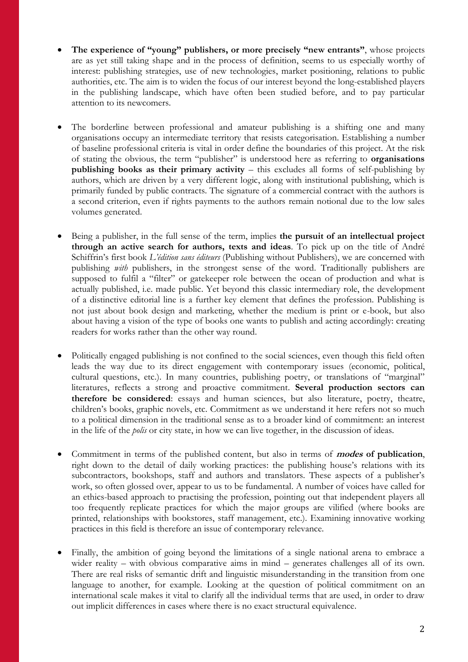- **The experience of "young" publishers, or more precisely "new entrants"**, whose projects are as yet still taking shape and in the process of definition, seems to us especially worthy of interest: publishing strategies, use of new technologies, market positioning, relations to public authorities, etc. The aim is to widen the focus of our interest beyond the long-established players in the publishing landscape, which have often been studied before, and to pay particular attention to its newcomers.
- The borderline between professional and amateur publishing is a shifting one and many organisations occupy an intermediate territory that resists categorisation. Establishing a number of baseline professional criteria is vital in order define the boundaries of this project. At the risk of stating the obvious, the term "publisher" is understood here as referring to **organisations publishing books as their primary activity** – this excludes all forms of self-publishing by authors, which are driven by a very different logic, along with institutional publishing, which is primarily funded by public contracts. The signature of a commercial contract with the authors is a second criterion, even if rights payments to the authors remain notional due to the low sales volumes generated.
- Being a publisher, in the full sense of the term, implies **the pursuit of an intellectual project through an active search for authors, texts and ideas**. To pick up on the title of André Schiffrin's first book *L'édition sans éditeurs* (Publishing without Publishers), we are concerned with publishing *with* publishers, in the strongest sense of the word. Traditionally publishers are supposed to fulfil a "filter" or gatekeeper role between the ocean of production and what is actually published, i.e. made public. Yet beyond this classic intermediary role, the development of a distinctive editorial line is a further key element that defines the profession. Publishing is not just about book design and marketing, whether the medium is print or e-book, but also about having a vision of the type of books one wants to publish and acting accordingly: creating readers for works rather than the other way round.
- Politically engaged publishing is not confined to the social sciences, even though this field often leads the way due to its direct engagement with contemporary issues (economic, political, cultural questions, etc.). In many countries, publishing poetry, or translations of "marginal" literatures, reflects a strong and proactive commitment. **Several production sectors can therefore be considered**: essays and human sciences, but also literature, poetry, theatre, children's books, graphic novels, etc. Commitment as we understand it here refers not so much to a political dimension in the traditional sense as to a broader kind of commitment: an interest in the life of the *polis* or city state, in how we can live together, in the discussion of ideas.
- Commitment in terms of the published content, but also in terms of **modes of publication**, right down to the detail of daily working practices: the publishing house's relations with its subcontractors, bookshops, staff and authors and translators. These aspects of a publisher's work, so often glossed over, appear to us to be fundamental. A number of voices have called for an ethics-based approach to practising the profession, pointing out that independent players all too frequently replicate practices for which the major groups are vilified (where books are printed, relationships with bookstores, staff management, etc.). Examining innovative working practices in this field is therefore an issue of contemporary relevance.
- Finally, the ambition of going beyond the limitations of a single national arena to embrace a wider reality – with obvious comparative aims in mind – generates challenges all of its own. There are real risks of semantic drift and linguistic misunderstanding in the transition from one language to another, for example. Looking at the question of political commitment on an international scale makes it vital to clarify all the individual terms that are used, in order to draw out implicit differences in cases where there is no exact structural equivalence.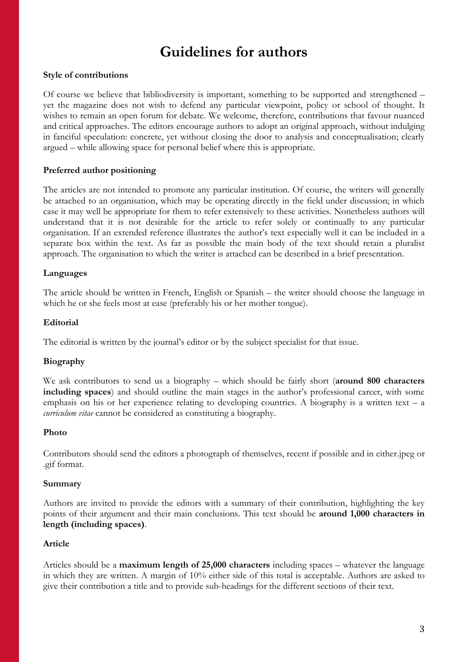# **Guidelines for authors**

# **Style of contributions**

Of course we believe that bibliodiversity is important, something to be supported and strengthened – yet the magazine does not wish to defend any particular viewpoint, policy or school of thought. It wishes to remain an open forum for debate. We welcome, therefore, contributions that favour nuanced and critical approaches. The editors encourage authors to adopt an original approach, without indulging in fanciful speculation: concrete, yet without closing the door to analysis and conceptualisation; clearly argued – while allowing space for personal belief where this is appropriate.

# **Preferred author positioning**

The articles are not intended to promote any particular institution. Of course, the writers will generally be attached to an organisation, which may be operating directly in the field under discussion; in which case it may well be appropriate for them to refer extensively to these activities. Nonetheless authors will understand that it is not desirable for the article to refer solely or continually to any particular organisation. If an extended reference illustrates the author's text especially well it can be included in a separate box within the text. As far as possible the main body of the text should retain a pluralist approach. The organisation to which the writer is attached can be described in a brief presentation.

# **Languages**

The article should be written in French, English or Spanish – the writer should choose the language in which he or she feels most at ease (preferably his or her mother tongue).

#### **Editorial**

The editorial is written by the journal's editor or by the subject specialist for that issue.

# **Biography**

We ask contributors to send us a biography – which should be fairly short (**around 800 characters including spaces**) and should outline the main stages in the author's professional career, with some emphasis on his or her experience relating to developing countries. A biography is a written text – a *curriculum vitae* cannot be considered as constituting a biography.

#### **Photo**

Contributors should send the editors a photograph of themselves, recent if possible and in either.jpeg or .gif format.

#### **Summary**

Authors are invited to provide the editors with a summary of their contribution, highlighting the key points of their argument and their main conclusions. This text should be **around 1,000 characters in length (including spaces)**.

# **Article**

Articles should be a **maximum length of 25,000 characters** including spaces – whatever the language in which they are written. A margin of 10% either side of this total is acceptable. Authors are asked to give their contribution a title and to provide sub-headings for the different sections of their text.